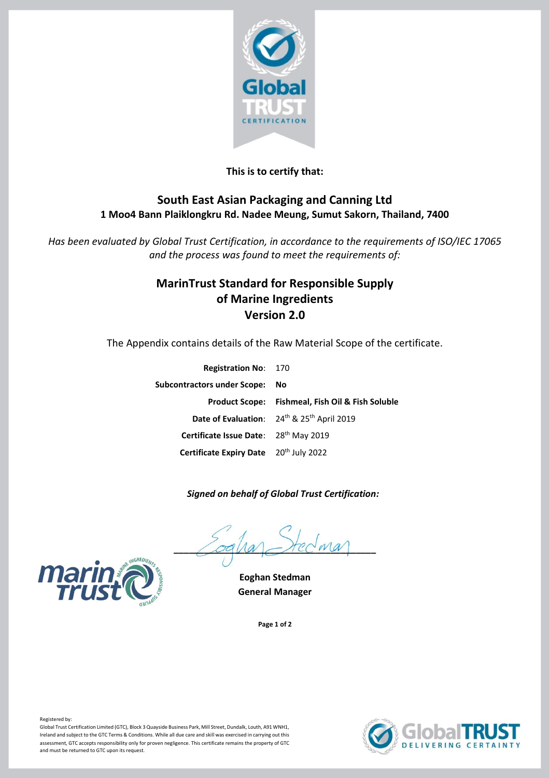

# **This is to certify that:**

# **South East Asian Packaging and Canning Ltd 1 Moo4 Bann Plaiklongkru Rd. Nadee Meung, Sumut Sakorn, Thailand, 7400**

*Has been evaluated by Global Trust Certification, in accordance to the requirements of ISO/IEC 17065 and the process was found to meet the requirements of:*

# **MarinTrust Standard for Responsible Supply of Marine Ingredients Version 2.0**

The Appendix contains details of the Raw Material Scope of the certificate.

| <b>Registration No: 170</b>            |                                                                    |
|----------------------------------------|--------------------------------------------------------------------|
| <b>Subcontractors under Scope:</b>     | No.                                                                |
|                                        | <b>Product Scope:</b> Fishmeal, Fish Oil & Fish Soluble            |
|                                        | Date of Evaluation: 24 <sup>th</sup> & 25 <sup>th</sup> April 2019 |
| Certificate Issue Date: 28th May 2019  |                                                                    |
| Certificate Expiry Date 20th July 2022 |                                                                    |

#### *Signed on behalf of Global Trust Certification:*

 $\angle$ oqua $\angle$ rec $w$ a



**General Manager**

**Page 1 of 2**





Registered by:

Global Trust Certification Limited (GTC), Block 3 Quayside Business Park, Mill Street, Dundalk, Louth, A91 WNH1, Ireland and subject to the GTC Terms & Conditions. While all due care and skill was exercised in carrying out this assessment, GTC accepts responsibility only for proven negligence. This certificate remains the property of GTC and must be returned to GTC upon its request.